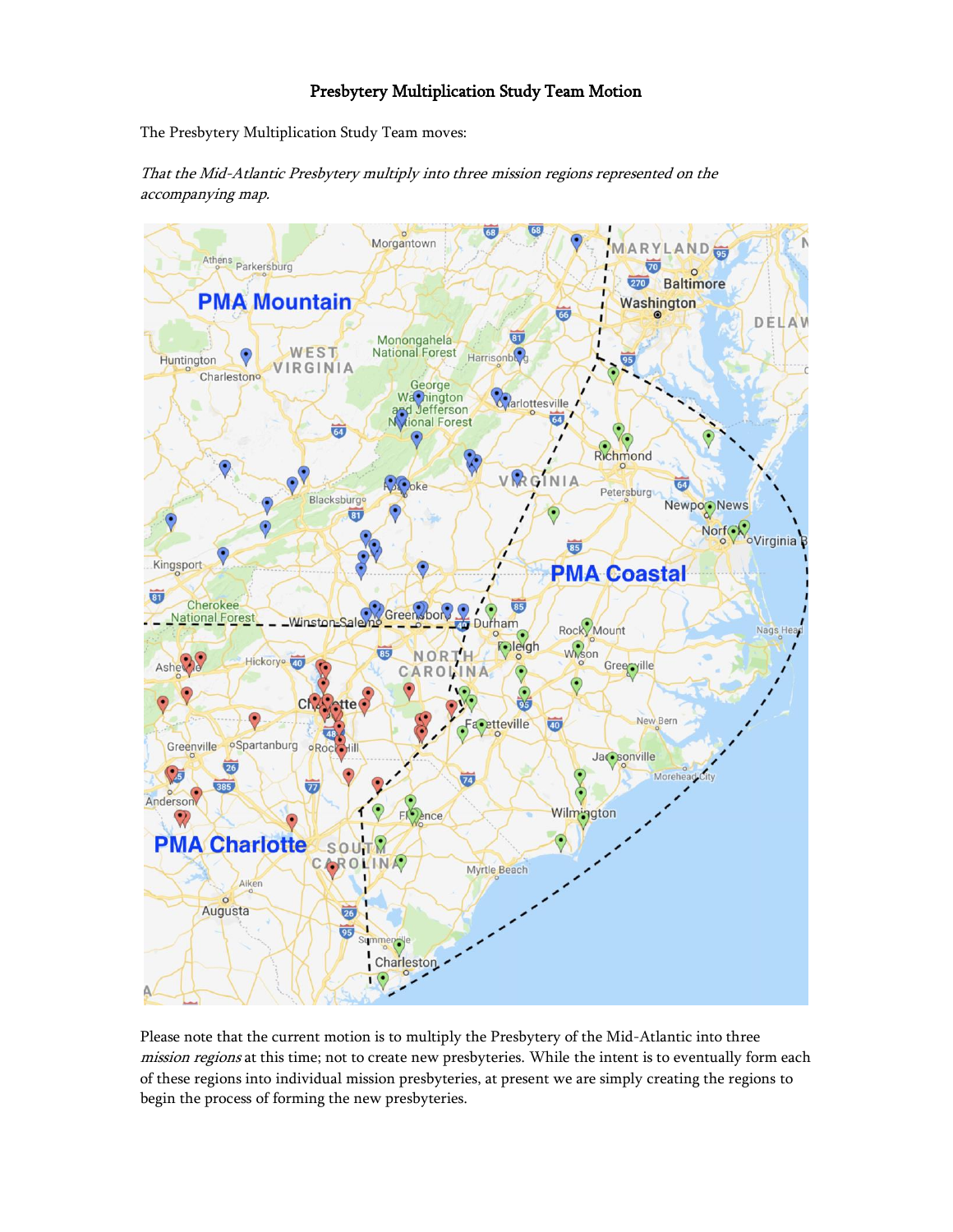# Presbytery Multiplication Study Team Motion

The Presbytery Multiplication Study Team moves:



That the Mid-Atlantic Presbytery multiply into three mission regions represented on the accompanying map.

Please note that the current motion is to multiply the Presbytery of the Mid-Atlantic into three mission regions at this time; not to create new presbyteries. While the intent is to eventually form each of these regions into individual mission presbyteries, at present we are simply creating the regions to begin the process of forming the new presbyteries.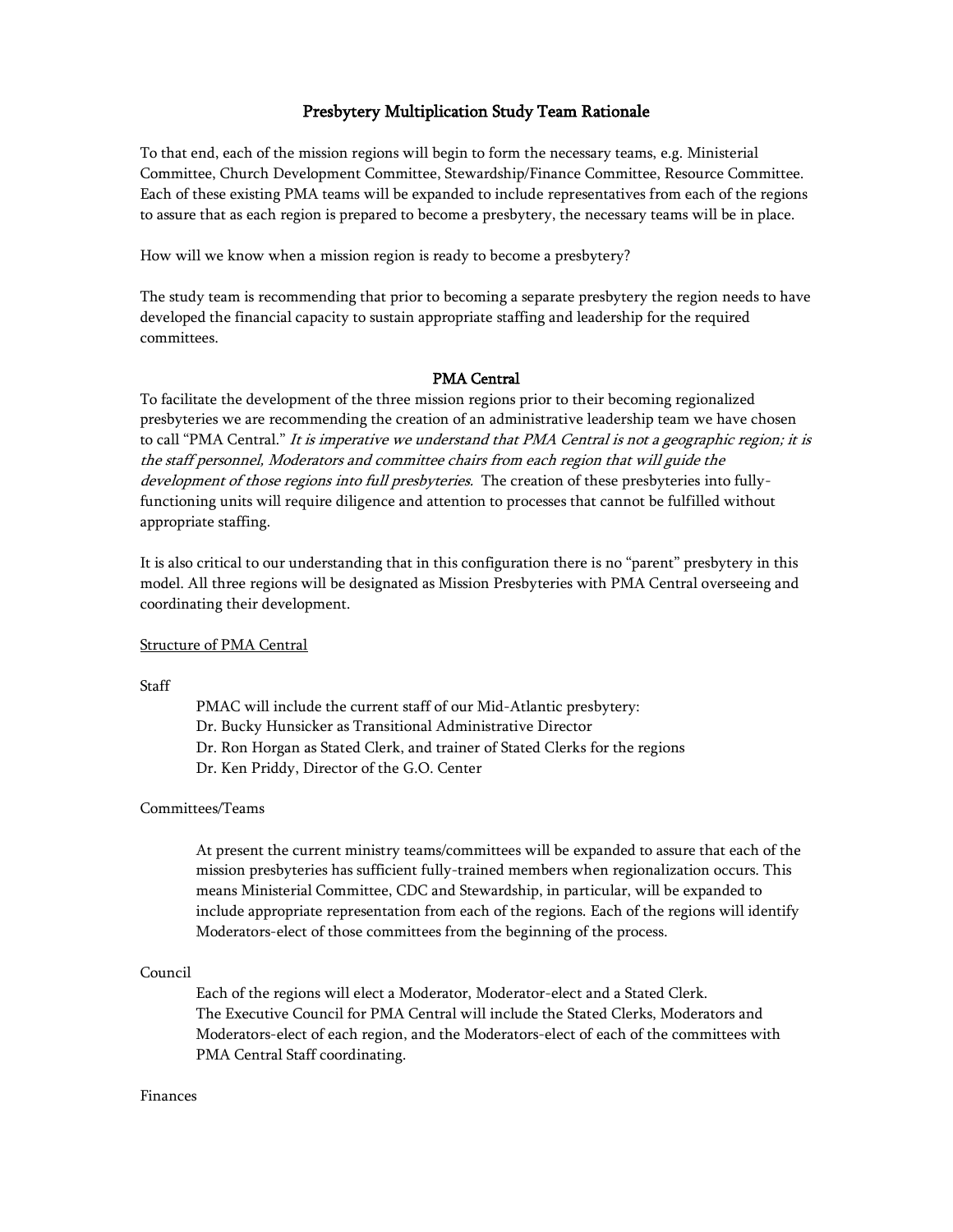## Presbytery Multiplication Study Team Rationale

To that end, each of the mission regions will begin to form the necessary teams, e.g. Ministerial Committee, Church Development Committee, Stewardship/Finance Committee, Resource Committee. Each of these existing PMA teams will be expanded to include representatives from each of the regions to assure that as each region is prepared to become a presbytery, the necessary teams will be in place.

How will we know when a mission region is ready to become a presbytery?

The study team is recommending that prior to becoming a separate presbytery the region needs to have developed the financial capacity to sustain appropriate staffing and leadership for the required committees.

### PMA Central

To facilitate the development of the three mission regions prior to their becoming regionalized presbyteries we are recommending the creation of an administrative leadership team we have chosen to call "PMA Central." It is imperative we understand that PMA Central is not a geographic region; it is the staff personnel, Moderators and committee chairs from each region that will guide the development of those regions into full presbyteries. The creation of these presbyteries into fullyfunctioning units will require diligence and attention to processes that cannot be fulfilled without appropriate staffing.

It is also critical to our understanding that in this configuration there is no "parent" presbytery in this model. All three regions will be designated as Mission Presbyteries with PMA Central overseeing and coordinating their development.

#### Structure of PMA Central

**Staff** 

PMAC will include the current staff of our Mid-Atlantic presbytery: Dr. Bucky Hunsicker as Transitional Administrative Director Dr. Ron Horgan as Stated Clerk, and trainer of Stated Clerks for the regions Dr. Ken Priddy, Director of the G.O. Center

#### Committees/Teams

At present the current ministry teams/committees will be expanded to assure that each of the mission presbyteries has sufficient fully-trained members when regionalization occurs. This means Ministerial Committee, CDC and Stewardship, in particular, will be expanded to include appropriate representation from each of the regions. Each of the regions will identify Moderators-elect of those committees from the beginning of the process.

#### Council

Each of the regions will elect a Moderator, Moderator-elect and a Stated Clerk. The Executive Council for PMA Central will include the Stated Clerks, Moderators and Moderators-elect of each region, and the Moderators-elect of each of the committees with PMA Central Staff coordinating.

#### Finances